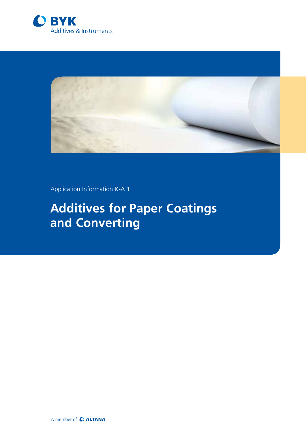



Application Information K-A 1

# **Additives for Paper Coatings and Converting**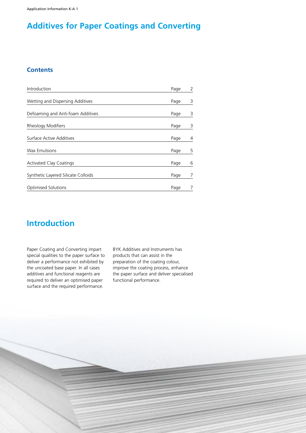Application Information K-A 1

# **Additives for Paper Coatings and Converting**

#### **Contents**

| Introduction                        | Page | 2 |
|-------------------------------------|------|---|
| Wetting and Dispersing Additives    | Page | 3 |
| Defoaming and Anti-foam Additives   | Page | 3 |
| Rheology Modifiers                  | Page | 3 |
| Surface Active Additives            | Page | 4 |
| <b>Wax Emulsions</b>                | Page | 5 |
| <b>Activated Clay Coatings</b>      | Page | 6 |
| Synthetic Layered Silicate Colloids | Page |   |
| <b>Optimised Solutions</b>          | Page |   |

## **Introduction**

Paper Coating and Converting impart special qualities to the paper surface to deliver a performance not exhibited by the uncoated base paper. In all cases additives and functional reagents are required to deliver an optimised paper surface and the required performance.

BYK Additives and Instruments has products that can assist in the preparation of the coating colour, improve the coating process, enhance the paper surface and deliver specialised functional performance.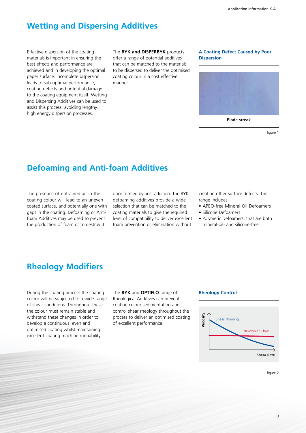### **Wetting and Dispersing Additives**

Effective dispersion of the coating materials is important in ensuring the best effects and performance are achieved and in developing the optimal paper surface. Incomplete dispersion leads to sub-optimal performance, coating defects and potential damage to the coating equipment itself. Wetting and Dispersing Additives can be used to assist this process, avoiding lengthy, high energy dispersion processes.

The **BYK and DISPERBYK** products offer a range of potential additives that can be matched to the materials to be dispersed to deliver the optimised coating colour in a cost effective manner.

#### **A Coating Defect Caused by Poor Dispersion**



**Blade streak**

figure 1

### **Defoaming and Anti-foam Additives**

The presence of entrained air in the coating colour will lead to an uneven coated surface, and potentially one with gaps in the coating. Defoaming or Antifoam Additives may be used to prevent the production of foam or to destroy it

once formed by post addition. The BYK defoaming additives provide a wide selection that can be matched to the coating materials to give the required level of compatibility to deliver excellent foam prevention or elimination without

creating other surface defects. The range includes:

- APEO-free Mineral Oil Defoamers
- Silicone Defoamers
- Polymeric Defoamers, that are both mineral-oil- and silicone-free

### **Rheology Modifiers**

During the coating process the coating colour will be subjected to a wide range of shear conditions. Throughout these the colour must remain stable and withstand these changes in order to develop a continuous, even and optimised coating whilst maintaining excellent coating machine runnability.

The **BYK** and **OPTIFLO** range of Rheological Additives can prevent coating colour sedimentation and control shear rheology throughout the process to deliver an optimised coating of excellent performance.

#### **Rheology Control**



figure 2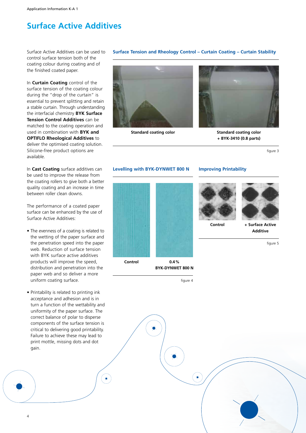# **Surface Active Additives**

Surface Active Additives can be used to control surface tension both of the coating colour during coating and of the finished coated paper.

In **Curtain Coating** control of the surface tension of the coating colour during the "drop of the curtain" is essential to prevent splitting and retain a stable curtain. Through understanding the interfacial chemistry **BYK Surface Tension Control Additives** can be matched to the coating operation and used in combination with **BYK and OPTIFLO Rheological Additives** to deliver the optimised coating solution. Silicone-free product options are available.

In **Cast Coating** surface additives can be used to improve the release from the coating rollers to give both a better quality coating and an increase in time between roller clean downs.

The performance of a coated paper surface can be enhanced by the use of Surface Active Additives:

- The evenness of a coating is related to the wetting of the paper surface and the penetration speed into the paper web. Reduction of surface tension with BYK surface active additives products will improve the speed, distribution and penetration into the paper web and so deliver a more uniform coating surface.
- Printability is related to printing ink acceptance and adhesion and is in turn a function of the wettability and uniformity of the paper surface. The correct balance of polar to disperse components of the surface tension is critical to delivering good printability. Failure to achieve these may lead to print mottle, missing dots and dot gain.

¥.





**Standard coating color Standard coating color + BYK-3410 (0.8 parts)**

figure 3



 $\blacktriangleright$ 

**Surface Tension and Rheology Control – Curtain Coating – Curtain Stability**

4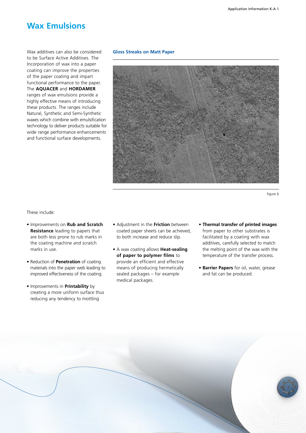#### **Wax Emulsions**

Wax additives can also be considered to be Surface Active Additives. The Incorporation of wax into a paper coating can improve the properties of the paper coating and impart functional performance to the paper. The **AQUACER** and **HORDAMER** ranges of wax emulsions provide a highly effective means of introducing these products. The ranges include Natural, Synthetic and Semi-Synthetic waxes which combine with emulsification technology to deliver products suitable for wide range performance enhancements and functional surface developments.

#### **Gloss Streaks on Matt Paper**



figure 6

These include:

- Improvements on **Rub and Scratch Resistance** leading to papers that are both less prone to rub marks in the coating machine and scratch marks in use.
- Reduction of **Penetration** of coating materials into the paper web leading to improved effectiveness of the coating.
- Improvements in **Printability** by creating a more uniform surface thus reducing any tendency to mottling.
- Adjustment in the **Friction** between coated paper sheets can be achieved, to both increase and reduce slip.
- A wax coating allows **Heat-sealing of paper to polymer films** to provide an efficient and effective means of producing hermetically sealed packages – for example medical packages.
- **Thermal transfer of printed images** from paper to other substrates is facilitated by a coating with wax additives, carefully selected to match the melting point of the wax with the temperature of the transfer process.
- **Barrier Papers** for oil, water, grease and fat can be produced.

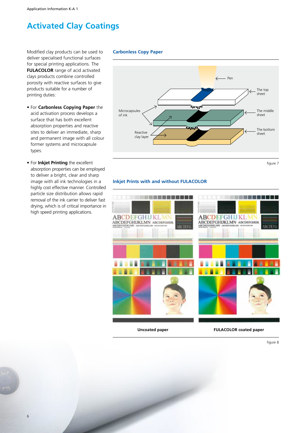## **Activated Clay Coatings**

Modified clay products can be used to deliver specialised functional surfaces for special printing applications. The **FULACOLOR** range of acid activated clays products combine controlled porosity with reactive surfaces to give products suitable for a number of printing duties:

- For **Carbonless Copying Paper** the acid activation process develops a surface that has both excellent absorption properties and reactive sites to deliver an immediate, sharp and permanent image with all colour former systems and microcapsule types.
- For **Inkjet Printing** the excellent absorption properties can be employed to deliver a bright, clear and sharp image with all ink technologies in a highly cost effective manner. Controlled particle size distribution allows rapid removal of the ink carrier to deliver fast drying, which is of critical importance in high speed printing applications.

6

#### **Carbonless Copy Paper**



figure 7

#### **Inkjet Prints with and without FULACOLOR**



figure 8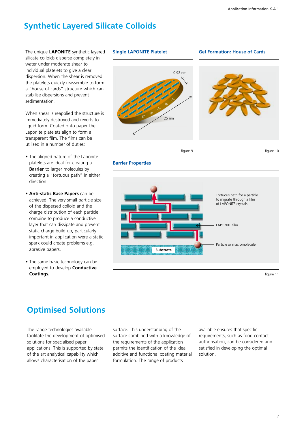## **Synthetic Layered Silicate Colloids**

The unique **LAPONITE** synthetic layered silicate colloids disperse completely in water under moderate shear to individual platelets to give a clear dispersion. When the shear is removed the platelets quickly reassemble to form a "house of cards" structure which can stabilise dispersions and prevent sedimentation.

When shear is reapplied the structure is immediately destroyed and reverts to liquid form. Coated onto paper the Laponite platelets align to form a transparent film. The films can be utilised in a number of duties:

- The aligned nature of the Laponite platelets are ideal for creating a **Barrier** to larger molecules by creating a "tortuous path" in either direction.
- **Anti-static Base Papers** can be achieved. The very small particle size of the dispersed colloid and the charge distribution of each particle combine to produce a conductive layer that can dissipate and prevent static charge build up, particularly important in application were a static spark could create problems e.g. abrasive papers.
- The same basic technology can be employed to develop **Conductive Coatings.**

# **Single LAPONITE Platelet** ∂+ ∂+ ∂+ ∂+ 25 nm 0.92 nm **Gel Formation: House of Cards**

figure 9

figure 10

#### **Barrier Properties**



figure 11

# **Optimised Solutions**

The range technologies available facilitate the development of optimised solutions for specialised paper applications. This is supported by state of the art analytical capability which allows characterisation of the paper

surface. This understanding of the surface combined with a knowledge of the requirements of the application permits the identification of the ideal additive and functional coating material formulation. The range of products

available ensures that specific requirements, such as food contact authorisation, can be considered and satisfied in developing the optimal solution.